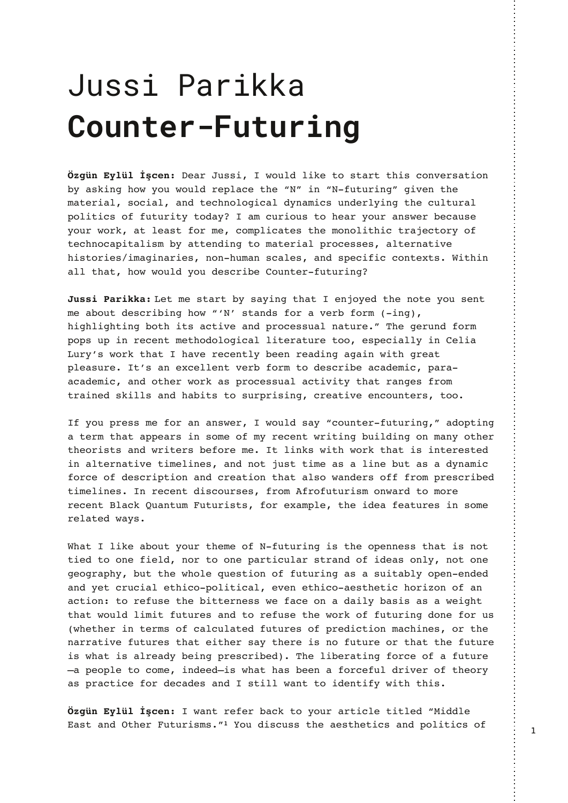## +PNND! 1<MDFF< \$JPI O@M‡' POPMDI B

3/@CAA7E=C:2:793B=AB/@BB67A1=<D3@A/B7=< 0G / A97<5 6=E G=C E=C: 2 @3>: / 13 B63 L#M 7< L# 4CBC@7<5M 57D3< B63 ;/B3@7/: A=17/: /<2 B316<=:=571/: 2G</;71A C<23@:G7<5 B63 1C:BC@: >=:7B71A =4 4CBC@7BG B=2/G /: 1C@7=CA B= 63/@G=C@/<AE3@031/CA3 G=C@E=@9 /B:3/AB4=@;3 1=;>:71/B3AB63;=<=:7B671B@831B=@G=4 B316<=1/>>1/>7B/:7A; 0G/BB3<27<5 B=;/B3@7/: >@=13AA3A /:B3@</br/>/B7D3 67AB=@73A7;/57</@73A<=<6C;/<A1/:3A/<2A>3174711=<B3FBA,7B67<  $/$ :: B6/B 6=E E=C:2 G=C 23A1@703 =C<B3@4CBC@7<5

! 3B:3 AB/@B0GA/G7<5 B6/B 3<8=G32 B63 <=B3 G=CA3<B ;3/0=CB23A1@707<56=ELN#OAB/<2A4=@/D3@04=@;7<5 6756:756B7<50=B67BA/1B7D3/<2>@=13AAC/:</BC@3M)6353@C<24=@; >=>AC>7<@313<B;3B6=2=:=571/::7B3@/BC@3B==3A>317/::G7<3:7/ ! C@GOA E=@9 B6/B 6/D3 @313<B: G 033< @3/27<5 /5/7< E7B6 5@3/B  $>$ : 3/ AC@3 BOA / < 3F13::3<BD3@04=@;B=23A1@703/1/23;71  $>$ /@ /1/23;71/<2=B63@E=@9/A>@=13AAC/:/1B7D7BGB6/B@/<53A4@=; B@/7<32 A97::A /<2 6/07BA B= AC@>@7A7<5 1@3/B7D3 3<1=C<B3@A B==

4 G=C > @3AA : 3 4= @ / < / < AE3 @ E=C: 2 A/ G L1=C<B3 @ 4 CBC@7 <5 M / 2=>B7 <5 /B3@;B6/B/>>3/@A7<A=;3=4;G@313<BE@7B7<50C7:27<5=<;/<G=B63@ B63=@7ABA/<2E@7B3@A034=@3;3B:7<9AE7B6E=@9B6/B7A7<B3@3AB32 7</:B3@</B7D3B7;3:7<3A/<2<=B8CABB7;3/A/:7<30CB/A/2G</;71 4=@13=423A1@7>B7=</<21@3/B7=<B6/B/:A=E/<23@A=444@=;>@3A1@7032 B7;3:7<3A < @313<B 27A1=C@A3A 4@=; 4@=4CBC@7A; =<E/@2 B=;=@3 @313<B:/19&C/<BC;CBC@7ABA4=@3F/;>:3B63723/43/BC@3A7<A=;3 @3:/B32E/GA

,6/B:793 / 0=CB G=C@B63;3 = 4 #4CBC@7<57AB63 = >3<<3AA B6/B7A <=B B732 B= =<3 473: 2 <= @ B= =<3 >/ @B71C: / @ AB@ <2 =4 723/A =<: G <= B =<3 53=5@/>6G0CBB63E6=:3?C3AB7=<=44CBC@7<5/A/AC7B/0:G=>3<3<232 / <2 G3B 1  $\mathbb{Q}$ 217/: 3B671 = >=:7B71/: 3D3< 3B671 = /3AB63B71 6 =  $\mathbb{Q}$ 7H = < =4 / < /1B7=<B=@34CA3B6307BB3@<3AAE34/13=</2/7:G0/A7A/A/E3756B B6/BE=C:2:7;7B4CBC@3A/<2B=@34CA3B63E=@9=44CBC@7<52=<34=@CA E63B63@7<B3@A=4 1/:1C:/B32 4CBC@A=4 >@3271B7=<;/167<3A =@B63 </@@/B7D34CBC@3AB6/B37B63@A/GB63@37A<=4CBC@3=@B6/BB634CBC@3 7AE6/B7A/:@3/2G037<5>@3A1@7032)63:703@/B7<54=@13=4/4CBC@3 K/  $>3 = 3$  B = 1=;3 7<2332K7A E6/B 6/A 033< / 4=@134C:  $2@7D3@ = 4$  B63= $@6$ /A>@/1B7134=@231/23A/<2AB7::E/<BB=723<B74GE7B6B67A

E/<B@343@0/19B=G=C@/@B71:3B7B:32L"722:3 / AB / <2 \$B63@ CBC@7A; A [M](#page-8-0) -=C 27A1CAA B63 / 3AB63B71A / <2 >=:7B71A =4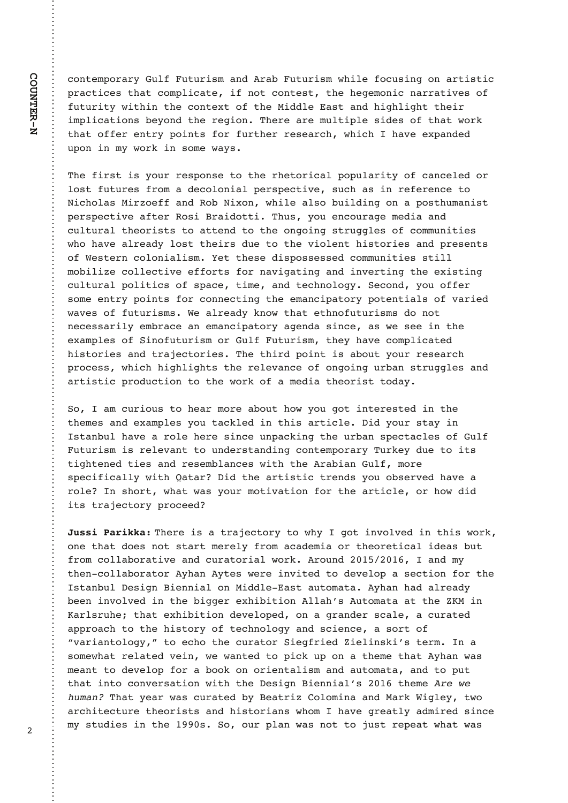contemporary Gulf Futurism and Arab Futurism while focusing on artistic practices that complicate, if not contest, the hegemonic narratives of futurity within the context of the Middle East and highlight their implications beyond the region. There are multiple sides of that work that offer entry points for further research, which I have expanded upon in my work in some ways.

The first is your response to the rhetorical popularity of canceled or lost futures from a decolonial perspective, such as in reference to Nicholas Mirzoeff and Rob Nixon, while also building on a posthumanist perspective after Rosi Braidotti. Thus, you encourage media and cultural theorists to attend to the ongoing struggles of communities who have already lost theirs due to the violent histories and presents of Western colonialism. Yet these dispossessed communities still mobilize collective efforts for navigating and inverting the existing cultural politics of space, time, and technology. Second, you offer some entry points for connecting the emancipatory potentials of varied waves of futurisms. We already know that ethnofuturisms do not necessarily embrace an emancipatory agenda since, as we see in the examples of Sinofuturism or Gulf Futurism, they have complicated histories and trajectories. The third point is about your research process, which highlights the relevance of ongoing urban struggles and artistic production to the work of a media theorist today.

So, I am curious to hear more about how you got interested in the themes and examples you tackled in this article. Did your stay in Istanbul have a role here since unpacking the urban spectacles of Gulf Futurism is relevant to understanding contemporary Turkey due to its tightened ties and resemblances with the Arabian Gulf, more specifically with Qatar? Did the artistic trends you observed have a role? In short, what was your motivation for the article, or how did its trajectory proceed?

**Jussi Parikka:** There is a trajectory to why I got involved in this work, one that does not start merely from academia or theoretical ideas but from collaborative and curatorial work. Around 2015/2016, I and my then-collaborator Ayhan Aytes were invited to develop a section for the Istanbul Design Biennial on Middle-East automata. Ayhan had already been involved in the bigger exhibition Allah's Automata at the ZKM in Karlsruhe; that exhibition developed, on a grander scale, a curated approach to the history of technology and science, a sort of "variantology," to echo the curator Siegfried Zielinski's term. In a somewhat related vein, we wanted to pick up on a theme that Ayhan was meant to develop for a book on orientalism and automata, and to put that into conversation with the Design Biennial's 2016 theme Are we human? That year was curated by Beatriz Colomina and Mark Wigley, two architecture theorists and historians whom I have greatly admired since my studies in the 1990s. So, our plan was not to just repeat what was

2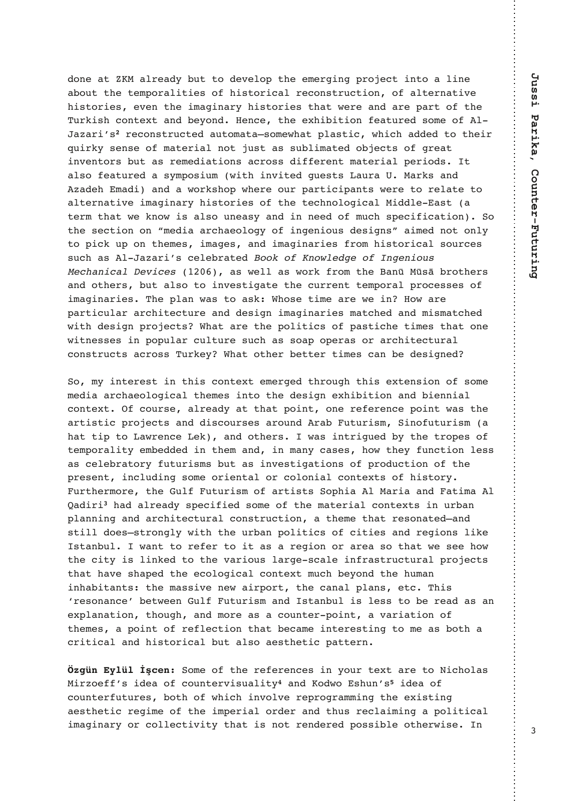2=<3 / B. " /: @3/2GOCBB= 23D3: => B63 3;3 @57<5 > @=831B7<B= /:7<3  $/0 = CB$  B63 B3;  $> = Q$ ; 7B73A = 4 67AB= $Q$ 71/;  $Q$ 31=<AB $Q$ C1B7=< = 4 /; B3 $Q$ =/B7D3 67AB=@73A3D3<B637;/57</@G67AB=@73AB6/BE3@3/<2/@3>/@B=4B63 )C@97A61=<B3FB/<203G=<23<13B633F6707B7=<43/BC@32A=;3=4: /H/@7O[A](#page-8-1) @31=<AB@C1B32/CB=;/B/KA=;3E6/B>:/AB71E6716/2232B=B637@ ?C7@9GA3<A3=4;/B3@7/:<=B8CAB/AAC0:7;/B32=0831BA=45@3/B 7<D3<B=@A0CB/A@3;327/B7=<A/1@=AA27443@3<B;/B3@7/:>3@7=2AB /:A=43/BC@32/AG;>=A7C;E7B67<D7B325C3ABA!/C@/\*"/@9A/<2 H/236;/27/<2/E=@9A6=>E63@3=C@>/@B717>/<BAE3@3B=@3:/B3B= /:B3@</B7D37;/57</@G67AB=@73A=4B63B316<=:=571/:"722:3/AB/ B3@;B6/BE39<=E7A/:A=C<3/AG/<27<<332=4;C16A>317471/B7=< (= B63 A31B7=< =< L; 327/ / @16/3=: =5G =4 7<53<7=CA 23A75<AM / 7; 32 <=B =<: G B= >719 C> =< B63;3A 7;/53A /<2 7;/57</@73A 4@=; 67AB=@71/: A=C@13A AC16 / A : / H/ @7OA 13:30 @ B32 "" " ! "\* " ! ! "(&  $\left| \begin{array}{ccc} 1 & 0 & 0 \\ 0 & 0 & 0 \\ 0 & 0 & 0 \\ 0 & 0 & 0 \\ 0 & 0 & 0 \\ 0 & 0 & 0 \\ 0 & 0 & 0 \\ 0 & 0 & 0 \\ 0 & 0 & 0 \\ 0 & 0 & 0 \\ 0 & 0 & 0 \\ 0 & 0 & 0 \\ 0 & 0 & 0 \\ 0 & 0 & 0 & 0 \\ 0 & 0 & 0 & 0 \\ 0 & 0 & 0 & 0 \\ 0 & 0 & 0 & 0 \\ 0 & 0 & 0 & 0 & 0 \\ 0 & 0 & 0 & 0 & 0 \\ 0 & 0 & 0 & 0 & 0 \\$  /AE3::/AE=@94@=;B63/<Q"QAP0@=B63@A /<2=B63@A0CB/:A=B=7<D3AB75/B3B631C@@3<BB3;>=@/:>@=13AA3A=4  $7; / 57  $\sqrt{a}$  3A  $\sqrt{63}$   $>$   $\sqrt{c}$  E/A B= /A9, 6=A3 B7; 3 /  $\frac{a}{2}$  E3 7< = E /  $\frac{a}{2}$$ >/@B71C:/@/@167B31BC@3/<223A75<7;/57</@73A;/B1632/<2;7A;/B1632 E7B623A75<>@=831BA,6/B/@3B63>=:7B71A=4>/AB7163B7;3AB6/B=<3 E7B<3AA3A7< >=>C:/ @1C:BC@3AC16 /AA=/> =>3@A =@/@167B31BC@: 1=<AB@C1BA/1@=AA)C@93G,6/B=B63@03BB3@B7;3A1/<0323A75<32

(=;G7<B3@3AB7<B67A1=<B3FB3;3@532B6@=C56B67A3FB3<A7=<=4A=;3 ;327//@16/3=:=571/:B63;3A7<B=B6323A75<3F6707B7=</<2073<<7/: 1=<B3FB \$4 1=C@A3 /: @3/2G/B B6/B >=7<B =<3 @343@3<13 >=7<B E/A B63 /@B7AB71>@=831BA/<227A1=C@A3A/@=C<2@/0CBC@7A;(7<=4CBC@7A;/ 6/B B7> B=  $!$  / E@3 < 13  $!$  39 / < 2 = B63@A E/A 7 < B@75C32 0G B63 B@=>3A = 4 B3;  $>=@$ : 7BG 3; 032232 7< B63; / <2 7< ; / <G 1/ A3A 6=E B63G 4C<1B7=< : 3AA /A13:30@/B=@G4CBC@7A;A0CB/A7<D3AB75/B7=<A=4>@=2C1B7=<=4B63 >@3A3<B7<1:C27<5A=;3=@73<B/:=@1=:=<7/:1=<B3FBA=467AB=@G  $C$ @B63@;=@3B63C:4CBC@7A;=4/@B7ABA(=>67/: "/@7//<2/B7;/ &/27[@](#page-8-2)[7](#page-8-2) 6/2/:@3/2GA>3174732A=;3=4B63;/B3@7/:1=<B3FBA7<C@0/< >:/<<7<5/<2/@167B31BC@/:1=<AB@C1B7=</B63;3B6/B@3A=</B32K/<2 AB7:: 2=3AKAB@=<5:GE7B6B63C@0/< >=:7B71A =4 17B73A /<2 @357=<A:793 AB/<0C:E/<BB=@343@B=7B/A/@357=<=@/@3/A=B6/BE3A336=E B63 17BG7A:7<932 B= B63 D/@7=CA:/@53 A1/:3 7<4@/AB@C1BC@: >@=831BA B6/B 6/D3 A6/>32 B63 31=:=571/: 1=<B3FB;C16 03G=<2 B63 6C;/< 7<6/07B/<BAB63;/AA7D3<3E/7@>=@BB631/</:>:/<A3B1)67A N@3A=</<13O03BE33< C:4 CBC@7A;/<2 AB/<0C:7A:3AAB=03 @3/2/A/<  $3F$  : /  $\lt$ /  $B7$  =  $\lt$   $B6 = C56$  /  $\lt$ 2 : =  $\circled{3}$  / A /  $1 = C \lt B3 \circled{2}$   $\gt$  =7 $\lt B$  / D/ $\circled{3}$ / $B7$  =  $\lt$  =4 B63;3A / >=7<B =4 @34:31B7=< B6/B 031/;3 7<B3@3AB7<5 B=;3 /A 0=B6 / 1@7B71/: /<2 67AB=@71/: 0CB /:A= /3AB63B71 >/BB3@<

(=;3=4B63@343@3<13A7<G=C@B3FB/@3B=#716=:/A "7@H=344OA723/=41=C<B3@D7AC/:7B[G](#page-8-3) /<2 =2E=A6C<O[A](#page-9-0) 723/=4 1=C<B3@4CBC@3A0=B6=4E67167<D=:D3@3>@=5@/;;7<5B633F7AB7<5 /3AB63B71@357;3=4B637;>3@7/:=@23@/<2B6CA@31:/7;7<5/>=:7B71/: 7;/57</@G = @ 1=::31B7D7BG B6/B 7A <=B @8<23@32 >=AA70:3 =B63@E7A3 <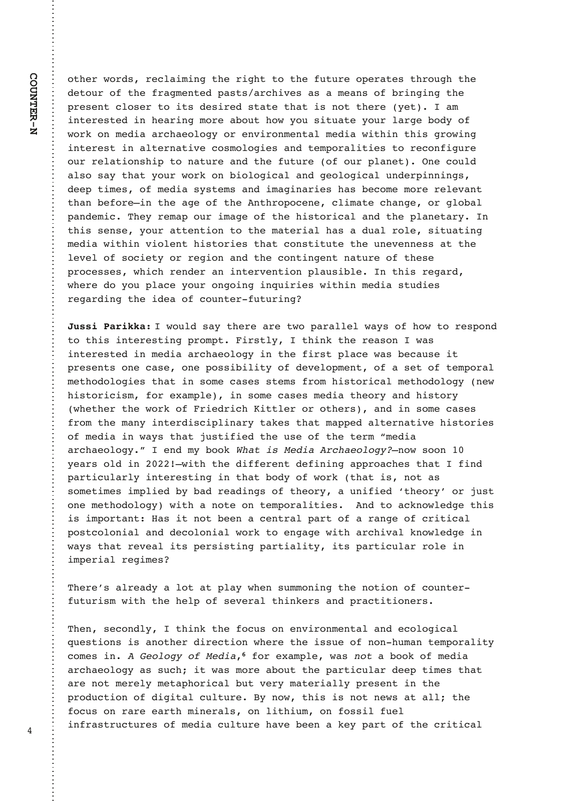=B63@E=@2A@31:/7;7<5B63@756BB=B634CBC@3=>3@/B3AB6@=C56B63 23B=C@=4B634@/5;3<B32>/ABA/@167D3A/A/;3/<A=40@7<57<5B63 >@3A3<B 1:=A3@B=7BA 23A7@32 AB/B3 B6/B 7A <=B B63@3 G3B /; 7<B3@3AB327<63/@7<5;=@3/0=CB6=EG=CA7BC/B3G=C@:/@530=2G=4 E=@9 =<;327/ / @16/3=:=5G =@3<D7@=<;3<B/:;327/ E7B67< B67A 5@=E7<5 7<B3@3AB7</:B3@</B7D31=A;=:=573A/<2B3;>=@/:7B73AB=@31=<475C@3  $=$ C@@3:/B7=<A67>B=</BC@3/<2B634CBC@3 =4  $=$ C@>:/<3B \$<3 1=C:2 /:A=A/GB6/BG=C@E=@9=<07=:=571/:/<253=:=571/:C<23@>7<<7<5A 233> B7;3A = 4;327/ AGAB3; A / < 2 7; / 57 < /a/ @73A 6/A 031 = ;3; = @3 @3:3D/ < B B6/< 034=@3K7< B63 / 53 =4 B63 <B6@=>=13<3 1:7;/B3 16/<53 =@5:=0/:  $>$ / $<$ 23;71)63G @3;/ $>$ =C@7;/53 = 4 B63 67AB=@71/:/ $<$ 2 B63  $>$ ;/ $<$ 3B/@G  $<$ B67A A3<A3 G=C@/BB3<B7=< B= B63;/B3@7/: 6/A / 2C/: @=:3 A7BC/B7<5 ;327/E7B67<D7=:3<B67AB=@73AB6/B1=<AB7BCB3B63C<3D3<<3AA/BB63 :3D3:=4A=173BG=@@357=</<2B631=<B7<53<B</BC@3=4B63A3 >@=13AA3AE6716@3<23@/<7<B3@D3<B7=<>:/CA70:3<B67A@35/@2 E63@3 2= G=C >:/13 G=C@ = < 5 = 7 < ? C7@73A E7B67<;327/ ABC273A @35/@27<5B63723/=41=C<B3@4CBC@7<5

E=C:2A/GB63@3/@3BE=>/@/::3:E/GA=46=EB=@3A>=<2 B = B67A 7<B3@3AB7<5 > @ = ; >B7@AB: GB67<9 B63 @3/A = <<br/>E/A 7<B3@3AB327<;327//@16/3=:=5G7<B6347@AB>:/13E/A031/CA37B >@3A3<BA=<31/A3=<3>=AA707:7BG=423D3:=>;3<B=4/A3B=4B3;>=@/:  $:3B6=2=$ : =573A B6/B 7< A=;3 1/A3A AB3; A 4  $@=$ : 67AB= $@1/$ : ;3B6=2=: =5G <3E 67AB= $@717$ A;  $4 = @3F$ ;  $> : 3$  7< A=; 3 1/A3A; 327/B63= $@G$ /<2 67AB= $@G$ E63B63@B63 E=@9 =4 @732@716 7BB:  $3@ = @ = B63@$  / <2 7< A=; 3 1/A3A 4@=;B63;/<G7<B3@27A17>:7</@GB/93AB6/B;/>>32/:B3@</B7D367AB=@73A =4;327/7<E/GAB6/B8CAB74732B63CA3=4B63B3@;L;327/ /@16/3=:=5GM3<2;G0==9'&%"",K<=EA==<  $G3/ @A =: 2 \ 7 < 7$ KE7B6 B63 27443@<B 2347<7<5 /><br/>> />>@=/163A B6/B 47<2 >/ @B71C:/ @:G7<B3@3AB7<57< B6/B0=2G=4E=@9B6/B7A<=B/A A=; 3B7; 3A 7; >: 732 0G 0/2 @3/ 27 < 5A = 4 B63= @G / C < 74732 NB63= @GO = @ 8CAB =<3;3B6=2=:=5G E7B6 / <=B3 =< B3; >=@:7B73A <2 B= /19<=E:3253 B67A 7A 7;  $>=$  @B/  $<$ B / A 7B  $<=$ B 033 $<$ / 13 $<$ B@:  $>$ / @B  $=$ 4 / @ $<$ 53  $=$ 4 1@7B71/: >=AB1=: =<7/: / <2 231=: =<7/: E=@9 B= 3<5/53 E7B6 / @167D/: 9<=E: 3253 7< E/GAB6/B@3D3/:7BA>3@A7AB7<5>/@B7/:7BG7BA>/@B71C:/@@=:37< 7;>3@7/:@357;3A

)63@3OA/:@3/2G/:=B/B>:/GE63<AC;;=<7<5B63<=B7=<=41=C<B3@ 4CBC@7A;E7B6B6363:>=4A3D3@/:B67<93@A/<2>@/1B7B7=<3@A

)63<A31=<2:GB67<9B634=1CA=<3<D7@=<;3<B/:/<231=:=571/: ?C3AB7=<A7A/<=B63@27@31B7=<E63@3B637AAC3=4<=<6C;/<B3;>=@:7BG 1=:3A  $7 <$  ", "  $4=@3F$ ; >: 3 E/A!"' / 0==9 =4 : 327/ /@16/3=:=5G/AAC167BE/A;=@3/0=CBB63>/@B71C:/@233>B7;3AB6/B /@3<=B;3@3:G;3B/>6=@71/:0CBD3@G;/B3@7/::G>@3A3<B7<B63 >@=2C1B7=<=42757B/:1C:BC@3G<=EB67A7A<=B<3EA/B/::B63 4=1CA =< @ @3 3/ @B6 ; 7<3@ : A =< : 7B67C; =< 4=AA7: 4C3: 7<4@/AB@C1BC@3A=4;327/1C:BC@36/D3033</93G>/@B=4B631@7B71/: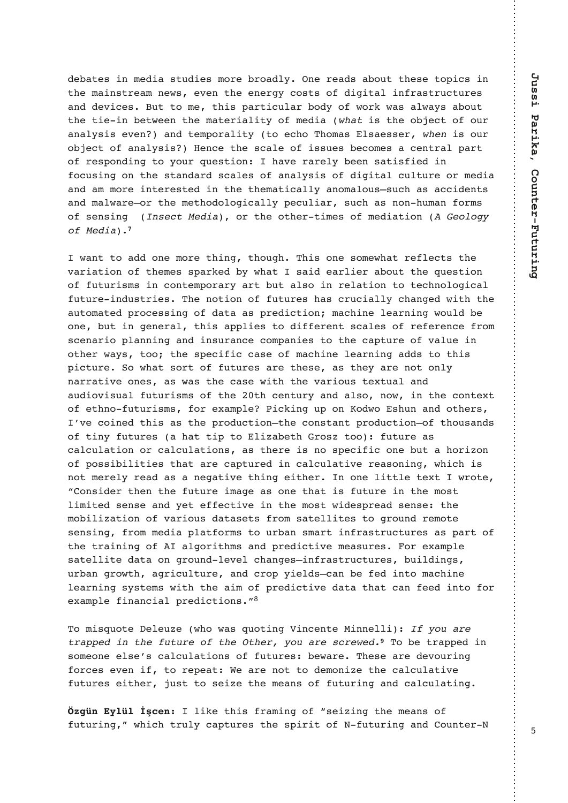230/B3A7<;327/ABC273A;=@30@=/2:G\$<3@3/2A/0=CBB63A3B=>71A7< B63;/7<AB@3/;<3EA3D3<B633<3@5G1=ABA=42757B/:7<4@/AB@C1BC@3A / <2 23D713A CB B= ; 3 B67A >/ @B71C: / @ 0=2G =4 E=@9 E/ A / : E/ GA / 0=CB B63 B73 7< 03BE33< B63;/B3@7/:7BG =4;327/ \* '7A B63 =0831B =4 =C@  $/$  </: GA7A 3D3<  $/$  <2 B3; >=@ : 7BG B= 316=  $)$  6=;  $/$  AJ : A/3AA3@  $*$  ! 7A = C@  $=0831B=4$  / </: GA7A 3<13 B63 A1/: 3 =4 7AAC3A 031=; 3A / 13<B@: >/@B =4 @3A>=<27<5 B= G=C@?C3AB7=< 6/D3 @ @3: G033< A/B7A4732 7< 4=1CA7<5 =< B63 AB/<2/ $@$  A1/:3A =4 /</:GA7A =4 2757B/: 1C:BC $@$  = $@$ ;327/ / <2 /;  $:=\textcircled{3}$  7 < B3  $\textcircled{3}$ AB32 7 < B63 B63; / B71/:: G / <=; /: =CAKAC16 / A / 11723 < BA / <2 ; / : E/ @3K=@B63 ; 3B6=2=: =571/:: G > 31C: 7/ @ AC16 / A <=< 6C; / < 4=@ A =4A3<A7<5!&'=@B63=B63@B7;3A=4;327/B7=<"", "

E/ <B B= / 22 = <3 ; = @3 B67 <5 B6 = C56 ) 67A = <3 A = ; 3E6/ B @34: 31BA B63 D/ $@7/BT = < = 4$  B63; 3A A>/ $@32$  OG E6/B  $\rightarrow$  A/72 3/ $@73@/0 = CB$  B63 ?C3AB7=<  $=4$  4CBC@7A; A 7< 1=<B3; >=@ @G / @B 0CB /: A= 7< @3:/B7=< B= B316<=: =571/: 4CBC@37<2CAB@73A)63<=B7=<=44CBC@3A6/A1@C17/::G16/<532E7B6B63 /CB=;/B32>@=13AA7<5=42/B//A>@3271B7=<;/167<3:3/@<7<5E=C:203 =<30CB7<53<3@/:B67A/>>:73AB=27443@3<BA1/:3A=4@343@3<134@=; A13</  $@7 = \frac{1}{5}$  / <<7<5 / <2 7<AC@ <13 1=; >/ <73A B= B63 1/ >BC@3 =4 D/: C3 7< =B63@E/GA B== B63 A>317471 1/A3 =4 ;/167<3 : 3/@<7<5 /22A B= B67A >71BC@3(=E6/BA=@B=44CBC@3A/@3B63A3/AB63G/@3<=B=<:G </@@/B7D3=<3A/AE/AB631/A3E7B6B63D/@7=CAB3FBC/:/<2 /C27=D7AC/:4CBC@7A;A=4B63 B613<BC@G/<2/:A=<=E7<B631=<B3FB  $=4$  3B6<= 4CBC@7A; A 4=@3F/; >:3 %7197<5 C> =< =2E= A6C< /<2 =B63@A OD31=7<32B67A/AB63>@=2C1B7=<KB631=<AB/<B>@=2C1B7=<K=4B6=CA/<2A =4B7<G4CBC@3A/6/BB7>B=:7H/03B6@=AHB==4CBC@3/A 1/:1C / B7=< = @ 1/:1C / B7=<A / A B63 @ 7A <= A>317471 =<3 0CB / 6=@H=< =4>=AA707:7B73AB6/B/@31/>BC@327<1/:1C:/B7D3@3/A=<7<5E67167A  $\leq$ =B;3@3:G@3/2/A/ $\leq$ 35/B7D3B67 $\leq$ 537B63@ $\leq$ = $\leq$ 3:7BB:3B3FBE@=B3 L =< $A723@B63<sub>5</sub>$  B63 4CBC $@7$ ; / 53 / A =<3 B6/B 7A 4CBC $@7$ < B63; = $AB$ :7;7B32A3<A3/<2G3B34431B7D37<B63;=ABE723A>@3/2A3<A3B63 ;=07:7H/B7=<=4D/@7=CA2/B/A3BA4@=;A/B3::7B3AB=5@=C<2@3;=B3 A3<A7<5 4 @=;;327/ >:/B4=@ A B= C@0/ < A;/@B7<4@/AB@C1BC@3A /A >/@B=4 B63B@/7<7<5=4/:5=@7B6;A/<2>@3271B7D3;3/AC@3A=@3F/;>:3 A/B3::7B32/B/=<5@=C<2:3D3:16/<53AK7<4@/AB@C1BC@3A0C7:27<5A C@0/<5@EB6 /5@71C:BC@3 /<2 1@=> G73:2AK1/<03 432 7<B=;/167<3 :3/@<7<5AGAB3;AE7B6B63/7;=4>@3271B7D32/B/B6/B1/<43327<B=4=@ 3F/;>:347</<17/:>@3271B7=<A[M](#page-9-2)-

) = ; 7A?C=B3 3: 3CH3 E6 = E/A ?C=B7<5 +7<13<B3 "7<<3:: 7 ,"( % '%##!' ('(%"' '%,"( %&%\* )=03B@'>>327<A=;3=<33:A3OA1/:1C:/B7=<A=44CBC@3A03E/@3)63A3/@323D=C@7<5 4=@13A3D3<74B=@3>3/B,3/@3<=BB=23;=<7H3B631/:1C:/B7D3 4CBC@3A37B63@8CABB=A37H3B63;3/<A=44CBC@7<5/<21/:1C:/B7<5

:793 B67A  $4@$ :7<5 =4 LA37H7<5 B63 :3/<A =4 4CBC@7<5ME6716B@C:G1/>BC@3AB63A>7@7B=4#4CBC@7<5/<2=C<B3@#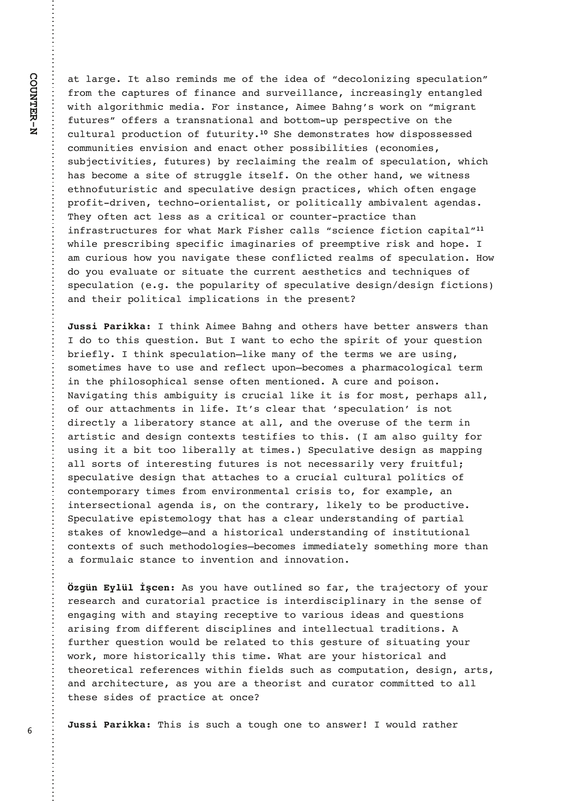/B:/@53B/:A=@3;7<2A;3=4B63723/=4L231=:=<7H7<5A>31C:/B7=<M 4@=;B631/>BC@3A=447</<13/<2AC@D37::/<137<1@3/A7<5:G3<B/<5:32 E7B6 /: 5=@7B6; 71;327/ = @7<AB/<13 7;33 /6<5OAE=@9 =< L;75@<B 4CBC@3AM=443@A/B@/<A</B7=</:/<20=BB=;C>>3@A>31B7D3=<B63 1 C: BC@ : > @ -2 C1 B7 = < = 4 4 CBC@7 BG (6323;=<AB@/B3A6=E27A>=AA3AA32 1=;;C<7B73A3<D7A7=</<23</1B=B63@>=AA707:7B73A31=<=;73A AC0831B7D7B73A 4CBC@3A 0G @31:/7;7<5 B63 @3/:; =4 A>31C:/B7=< E6716 6/A 031=;3 / A7B3 = 4 AB@C55:3 7BA3:4  $\text{$< B63 = B63 \text{ } @lt; 6/ < 2$  E3 E7B < 3AA 3B6<=4CBC@7AB71/<2A>31C:/B7D323A75<>@/1B713AE6716=4B3<3<5/53 >@=47B2@7D3<B316<==@73<B/:7AB=@>=:7B71/::G/;07D/:3<B/53<2/A )63G=4B3</1B:3AA/A/1@7B71/:=@1=C<B3@>@/1B713B6/< 7<4@/AB@C1BC@3A4=@E6/B"/@97A63@1/::ALA173<13471B7=<1/>7B/:[M](#page-9-5) E67:3>@3A1@707<5A>3174717;/57</@73A=4>@33;>B7D3@7A9/<26=>3 /;  $1C@7=CA$  6=E G=C </ D75/B3 B63A3 1=<4:71B32  $@3/$ :; A =4 A>31C:/B7=< =E 2=G=C3D/:C/B3=@A7BC/B3B631C@@3<B/3AB63B71A/<2B316<7?C3A=4 A>31C:/B7=<35B63>=>C:/@7BG=4A>31C:/B7D323A75<23A75<471B7=<A /<2B637@>=:7B71/:7;>:71/B7=<A7<B63>@3A3<B

! B67<9 7:33 / 6<5 / <2 = B63@A 6/D3 03BB3@ / <AE3@A B6/< 2= B= B67A ?C3AB7=< CB E/<B B= 316= B63 A>7@7B =4 G=C@ ?C3AB7=< 0@734: G B67<9 A>31C:/B7=<K: 793;/<G=4 B63 B3@;A E3/@3CA7<5 A=; 3B7; 3A 6/D3 B= CA3 / <2 @34: 31B C>=<K031=; 3A / >6/ @ / 1=: =571/: B3@ 7<B63>67:=A=>671/:A3<A3=4B3<;3<B7=<321C@3/<2>=7A=< #/D75/B7<5B67A/;075C7BG7A1@C17/::7937B7A4=@;=AB>3@6/>A/:: =4 = C@ / BB/ 16; 3<BA7<: 743 BOA 1: 3/ @ B6/ B NA>31C: / B7 = < O 7A <= B 27 @ 1B: G / : 703 @ B= @G AB/ < 13 / B /:: / < 2 B63 = D3 @ CA3 = 4 B63 B3 @ 7 < /@B7AB71/<223A75<1=<B3FBAB3AB7473AB=B67A/;/:A=5C7:BG4=@ CA7<57B / 07B B==:703@::G / B B7;3A (>31C:/B7D3 23A75< /A;/>>7<5 /::A=@BA=47<B3@3AB7<54CBC@3A7A<=B<313AA/@7:GD3@G4@C7B4C: A>31C:/B7D323A75<B6/B/BB/163AB=/1@C17/:1C:BC@/:>=:7B71A=4 1= $\langle B3; \rangle = \mathcal{Q}$   $\mathcal{Q}$   $\hat{B}$   $\hat{B}$   $\hat{C}$   $\hat{B}$   $\hat{C}$   $\hat{C}$   $\hat{C}$   $\hat{C}$   $\hat{C}$   $\hat{C}$   $\hat{C}$   $\hat{C}$   $\hat{C}$   $\hat{C}$   $\hat{C}$   $\hat{C}$   $\hat{C}$   $\hat{C}$   $\hat{C}$   $\hat{C}$   $\hat{C}$   $\hat{C}$   $\hat{C}$   $\hat{C}$  7<B3@A31B7=</:/53<2/7A=<B631=<B@/@G:793:GB=03>@=2C1B7D3  $(>31C.$  / B7D3 3>7AB3; =: =5G B6/B 6/A / 1:3/ @ C<23 @AB/ <27<5 =4 > / @B7/: AB/93A = 4 9 <= E: 3253K/ < 2 / 67AB=@71/: C < 23@AB/ < 27 < 5 = 4 7 < AB7BCB7 = < / 1=<B3FBA=4AC16;3B6=2=:=573AK031=;3A7;;327/B3:GA=;3B67<5;=@3B6/< /  $4 = @C$  /  $71$  AB/<13 B= 7<D3<B7=< /<2 7<<=D/B7=<

AG=C6/D3=CB:7<32A=4/@B63B@/831B=@G=4G=C@ @3A3/@16/<21C@/B=@7/:>@/1B7137A7<B3@27A17>:7</@G7<B63A3<A3=4 3<5/57<5E7B6/<2AB/G7<5@313>B7D3B=D/@7=CA723/A/<2?C3AB7=<A / @7A7<5 4@: 27443@3<B 27A17>:7<3A /<2 7<B3::31BC/: B@ 27B7=<A 4C@B63@?C3AB7=<E=C:203@3:/B32B=B67A53ABC@3=4A7BC/B7<5G=C@  $E=$  @9 ; = @3 67AB= @71/:: G B67A B7; 3 , 6/B / @3 G= C @ 67AB= @71/: / <2 B63=@3B71/: @343@3<13AE7B67<473:2AAC16 /A1=;>CB/B7=< 23A75< /@BA /<2/@167B31BC@3/AG=C/@3/B63=@7AB/<21C@/B=@1=;;7BB32B=/:: B63A3 A723A = 4 > @ 1B713 / B = < 13

! )67A7AAC16/B=C56=<3B=/<AE3@-E=C:2@/B63@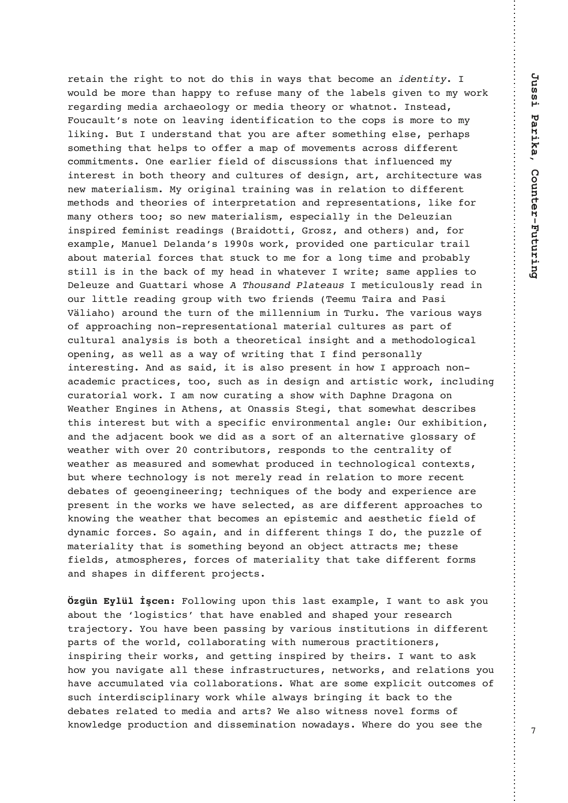retain the right to not do this in ways that become an *identity*. I would be more than happy to refuse many of the labels given to my work regarding media archaeology or media theory or whatnot. Instead, Foucault's note on leaving identification to the cops is more to my liking. But I understand that you are after something else, perhaps something that helps to offer a map of movements across different commitments. One earlier field of discussions that influenced my interest in both theory and cultures of design, art, architecture was new materialism. My original training was in relation to different methods and theories of interpretation and representations, like for many others too; so new materialism, especially in the Deleuzian inspired feminist readings (Braidotti, Grosz, and others) and, for example, Manuel Delanda's 1990s work, provided one particular trail about material forces that stuck to me for a long time and probably still is in the back of my head in whatever I write; same applies to Deleuze and Guattari whose A Thousand Plateaus I meticulously read in our little reading group with two friends (Teemu Taira and Pasi Väliaho) around the turn of the millennium in Turku. The various ways of approaching non-representational material cultures as part of cultural analysis is both a theoretical insight and a methodological opening, as well as a way of writing that I find personally interesting. And as said, it is also present in how I approach nonacademic practices, too, such as in design and artistic work, including curatorial work. I am now curating a show with Daphne Dragona on Weather Engines in Athens, at Onassis Stegi, that somewhat describes this interest but with a specific environmental angle: Our exhibition, and the adjacent book we did as a sort of an alternative glossary of weather with over 20 contributors, responds to the centrality of weather as measured and somewhat produced in technological contexts, but where technology is not merely read in relation to more recent debates of geoengineering; techniques of the body and experience are present in the works we have selected, as are different approaches to knowing the weather that becomes an epistemic and aesthetic field of dynamic forces. So again, and in different things I do, the puzzle of materiality that is something beyond an object attracts me; these fields, atmospheres, forces of materiality that take different forms and shapes in different projects.

**Özgün Eylül İşcen:** Following upon this last example, I want to ask you about the 'logistics' that have enabled and shaped your research trajectory. You have been passing by various institutions in different parts of the world, collaborating with numerous practitioners, inspiring their works, and getting inspired by theirs. I want to ask how you navigate all these infrastructures, networks, and relations you have accumulated via collaborations. What are some explicit outcomes of such interdisciplinary work while always bringing it back to the debates related to media and arts? We also witness novel forms of knowledge production and dissemination nowadays. Where do you see the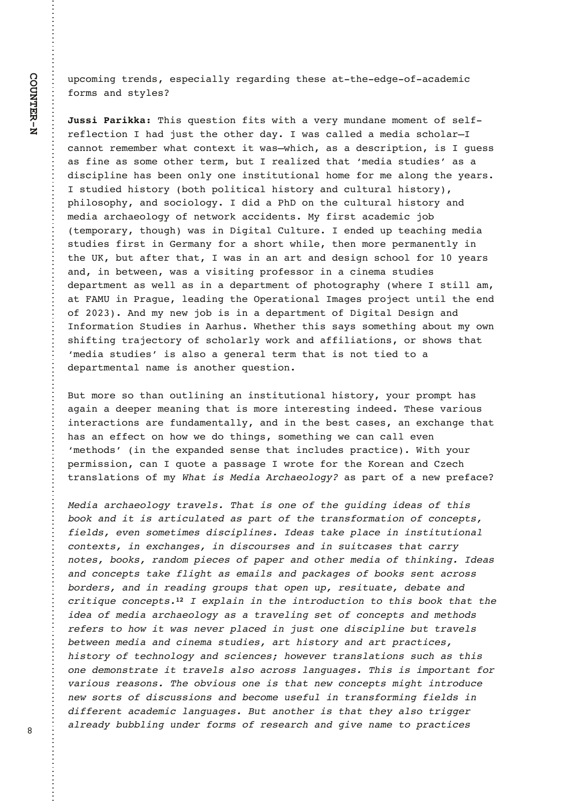C>1=;7<5B@3<2A3A>317/::G@35/@27<5B63A3/BB633253=4/1/23;71  $4 = \textcircled{a}$  A  $\div$  2 ABG: 3A

)67A?C3AB7=<47BAE7B6/D3@G;C<2/<3;=;3<B=4A3:4 @34:31B7=<6/28CABB63=B63@2/GE/A1/::32/;327/A16=:/@K 1/ <<=B @3; 3; 03 @ E6/ B 1 = <B3FB 7 B E/ AKE6716 / A / 23A1 @7 > B7 = < 7A 5C3AA /A 47<3 /A A=; 3 = B63@ B3@ 0CB @3/: 7H32 B6/B N; 327/ABC273AO /A / 27A17>:7<3 6/A 033< =<: G =<3 7<AB7BCB7=</: 6=; 3 4=@; 3 /: =<5 B63 G3/@A ABC273267AB=@G0=B6>=:7B71/:67AB=@G/<21C:BC@/:67AB=@G >67: =A=>6G / <2 A=17=: =5G 272 / % =< B63 1C: BC@: 67AB=@G / <2 :  $327/$  / @ 6/3=: =5G =4 <3BE=@9 / 11723<BA "G 47@AB / 1/23: 71 8=0 B3;  $>=$  @/ GG B6=C56 E/A 7< 757B/: C: BC@3 3<232 C B3/167<5; 327/ ABC273A 47@AB7< 3@/<G4=@/A6=@BE67:3B63<;=@3>3@/<3<B:G7< B63 \* 0CB / 4B3 @ B6/ B E/ A 7 < / < / @B / <2 23A75 < A16 ==: 4 = @ G3/@A /<27<03BE33<E/A/D7A7B7<5>@=43AA=@7</17<3;/ABC273A 23>/@B;3<B /A E3:: /A 7< / 23>/@B;3<B =4 >6=B=5@/>6G E63@3 AB7:: /; /B"\*7<%@/5C3:3/27<5B63\$>3@/B7=</:;/53A>@=831BC<B7:B633<2  $=4$  <2; G <3E 8=0 7A 7< /23>/ @B; 3<B =4 757B/: 3A75< /<2 <4=@;/d=cB + BC273A 7< /@6CA, 63B63@B67A A/GA A=;3B67<5 /0=CB + G = E< A674B7<5 B@ 831B=@G =4 A16=:/@:G E=@9 /<2 /447:7/B7=<A =@A6=EA B6/B N;327/ ABC273AO7A /: A= / 53<3@: B3@; B6/B7A <=B B732 B= / 23>/ @B; 3<B/: </; 3 7A / <=B63@ ?C3AB7=<

CB;=@3 A= B6/< =CB:7<7<5 /< 7<AB7BCB7=</: 67AB=@G G=C@>@=;>B6/A /5/7</233>3@;3/<7<5B6/B7A;=@37<B3@3AB7<57<2332)63A3D/@7=CA 7<B3@/1B7=<A/ / @3\dml 4C<2/;3<B/::G\ /<2\ 7< B63\dml 3AB\1/A3A\ /< 3F16/<53\ B6/B 6/A  $\ell$  < 34431B =  $\epsilon$  6=E E3 2 = B67 < 5A A = : 3B67 < 5 E3 1/ < 1/ : : 3D3 < N;3B6=2AO7<B633F>/<232A3<A3B6/B7<1:C23A>@/1B713,7B6G=C@ >3@;7AA7=< 1/< ?C=B3 / >/AA/53 E@=B3 4=@B63 =@8/</<2 H316 B@/<A:/B7=<A=4;G'&%"",/A>/@B=4/<3E>@34/13

%"",'%)&'&"!"'(!&"'& !' & % ( ' & # % " ' '%!& "% ' "! "! #'& &-)!&" ' &&#!&&'#!!&''('"! "!'+'&-!+!&-!&"(%&&!!&('&&''%%, !"'&-""&-%!" #&"##%!"'% "'!!& !"!#'&''& &!#&"""&&!'%"&& "%%&-!!%!%"(#&''"#!(#-%&'('-'!  $\%$  '  $\$($ "!  $\#'$  & +#!!'!'%"('"!'"'&""''' " %"",&'%)!&'""!#'&! '"& %%&'""\*'\*&!)%#!(&'"!&#!(''%)& '\*! !! &'(&-%'&'"%,!%'#%'&- $8<sup>2</sup>$ &'"%,"'!"",!&!&"\*)%'%!&'"!&&(&'& "! "!&'%'''%)&&"%"&&!(&&& #"%'!'"% )%"(&%&"!&")"(&"!&''!\*"!#'& '!'%"(  $1 * 8" \% 8"$  & (88''! & !  $8"$  (8 ( ! '%! & "% ! & ) %!' !(&('!"'%&''',&"'%% %,(!(!%"% &"%&%!)! '"#%'&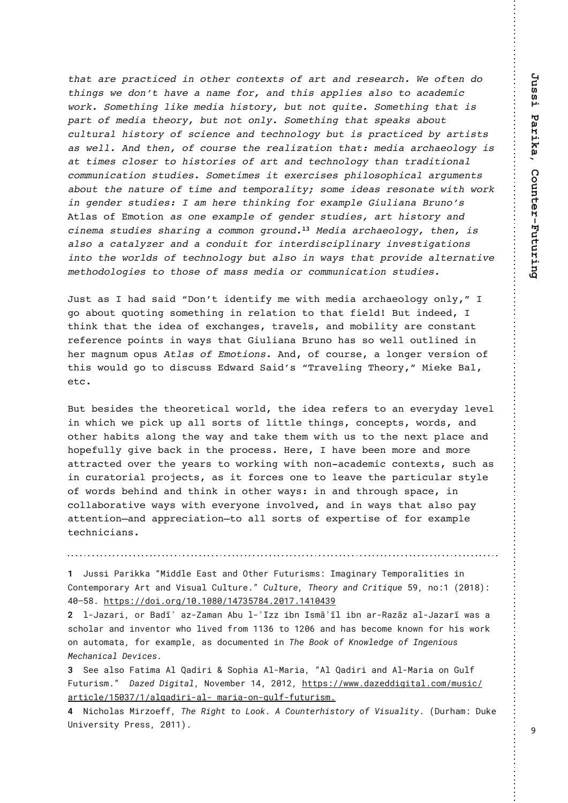$1'$  ,  $1'$  ,  $1''$  ,  $1''$  ,  $1''$  ,  $1''$  ,  $1''$  ,  $1''$  ,  $1''$  ,  $1''$  ,  $1''$  ,  $1''$  ,  $1''$  ,  $1''$  ,  $1''$  ,  $1''$  ,  $1''$  ,  $1''$  ,  $1''$  ,  $1''$  ,  $1''$  ,  $1''$  ,  $1''$  ,  $1''$  ,  $1''$  ,  $1''$  ,  $1''$  ,  $1''$  ,  $1''$  ,  $1''$  ,  $1''$  ,  $1''$  $1 \t 8 \t * \t 1 \t 1 \t 0$  1 "% 1 \ 8 ## 8 \ 8"  $8'$  "% (' ! "'  $$$  (' ' " ' ! ' ' \* " % " ' ! &  $\frac{1}{2}$   $\frac{1}{2}$   $\frac{1}{2}$   $\frac{1}{2}$   $\frac{1}{2}$   $\frac{1}{2}$   $\frac{1}{2}$   $\frac{1}{2}$   $\frac{1}{2}$   $\frac{1}{2}$   $\frac{1}{2}$   $\frac{1}{2}$   $\frac{1}{2}$   $\frac{1}{2}$   $\frac{1}{2}$   $\frac{1}{2}$   $\frac{1}{2}$   $\frac{1}{2}$   $\frac{1}{2}$   $\frac{1}{2}$   $\frac{1}{2}$   $\frac{1}{2}$   $# \%$  "  $8'$  "  $\%$  "  $8$  ! ! ! " , ('  $8$  #% ' , % & &  $($   $\frac{1}{2}$  (  $\frac{9}{6}$  $\frac{1}{2}$   $\frac{1}{2}$   $\frac{1}{2}$   $\frac{1}{2}$   $\frac{1}{2}$   $\frac{1}{2}$   $\frac{1}{2}$   $\frac{1}{2}$   $\frac{1}{2}$   $\frac{1}{2}$   $\frac{1}{2}$   $\frac{1}{2}$   $\frac{1}{2}$   $\frac{1}{2}$   $\frac{1}{2}$   $\frac{1}{2}$   $\frac{1}{2}$   $\frac{1}{2}$   $\frac{1}{2}$   $\frac{1}{2}$   $\frac{1}{2}$   $\frac{1}{2}$   $\mathbb{R}^n$  . If  $\mathbb{R}^n$  ,  $\mathbb{R}^n$  $8*$  $\boldsymbol{\mathcal{S}}$ " (! ' "! &' ( & " ' & ' + % & & # "&"#  $\frac{1}{8}$  $% ($  $\frac{1}{\sqrt{2}}$   $\frac{1}{\sqrt{2}}$   $\frac{1}{\sqrt{2}}$   $\frac{1}{\sqrt{2}}$   $\frac{1}{\sqrt{2}}$   $\frac{1}{\sqrt{2}}$   $\frac{1}{\sqrt{2}}$   $\frac{1}{\sqrt{2}}$   $\frac{1}{\sqrt{2}}$   $\frac{1}{\sqrt{2}}$   $\frac{1}{\sqrt{2}}$   $\frac{1}{\sqrt{2}}$   $\frac{1}{\sqrt{2}}$   $\frac{1}{\sqrt{2}}$   $\frac{1}{\sqrt{2}}$   $\frac{1}{\sqrt{2}}$   $\frac{1}{\sqrt{2}}$   $\frac{1}{2}$   $\frac{1}{2}$   $\frac{1}{2}$   $\frac{1}{2}$   $\frac{1}{2}$   $\frac{1}{2}$   $\frac{1}{2}$   $\frac{1}{2}$   $\frac{1}{2}$   $\frac{1}{2}$   $\frac{1}{2}$   $\frac{1}{2}$   $\frac{1}{2}$   $\frac{1}{2}$   $\frac{1}{2}$   $\frac{1}{2}$   $\frac{1}{2}$   $\frac{1}{2}$   $\frac{1}{2}$   $\frac{1}{2}$   $\frac{1}{2}$   $\frac{1}{2}$   $\%$  '!! "% + #  $($   $\frac{1}{4}$  %  $\frac{1}{4}$  %  $\frac{1}{3}$  $\frac{1}{2}$   $\frac{1}{2}$  % & ( &  $B'/A = 4$  :  $= B7 = 8$   $\overset{\circ}{\phantom{0}}$  :  $+$   $\overset{\circ}{\phantom{0}}$  " : % &' % &' % :  $" " " ! \ 90" ( !$  $\%$  "", '!  $\frac{1}{2}$  & ( & & %! -&  $\frac{1}{2}$ ,  $\frac{1}{2}$ ,  $\frac{1}{2}$ ,  $\frac{1}{2}$ ,  $\frac{1}{2}$ ,  $\frac{1}{2}$ ,  $\frac{1}{2}$ ,  $\frac{1}{2}$ ,  $\frac{1}{2}$ ,  $\frac{1}{2}$ ,  $\frac{1}{2}$ ,  $\frac{1}{2}$ ,  $\frac{1}{2}$ ,  $\frac{1}{2}$ ,  $\frac{1}{2}$ ,  $\frac{1}{2}$ ,  $\frac{1}{2}$ ,  $\frac{1}{2}$ ,  $\frac{1}{2}$ ,  $\frac{1}{2}$ ,  $\cdot$  "! & &" 

CAB / A 6/2 A/72 L = < OB 723 < B74G : 3 E7B6 : 327/ / @ 6/3=: = 5G = <: G M 5= / 0=CB ?C=B7<5 A=; 3B67<5 7< @3: / B7=< B= B6/ B 473: 2 CB 7<2332 B67<9 B6/B B63 723/ =4 3F16/<53A B@D3:A /<2 :=07:7BG / @3 1=<AB/ <B 63@;/5<C; =>CA ' & " "' "!& <2 =4 1=C@A3 / :=<53@D3@A7=< =4 B67A E=C: 2 5= B= 27A1CAA 2E/ @ (/72OA L) @ D3: 7<5 ) 63= @ SM "7393 /: 3<sub>R1</sub>

CB 03A723A B63 B63=@3B71/: E=@2 B63 723/ @343@A B= /< 3D3@G2/G:3D3: 7< E6716 E3 >719 C> /:: A=@BA =4 :7BB:3 B67<5A 1=<13>BA E=@2A /<2  $=$ B63@ 6/07BA /:=<5 B63 E/G /<2 B/93 B63: E7B6 CA B= B63 <3FB >:/13 /<2  $6 = > 34C$ : G 57D3 0/19 7< B63 >  $@=13AA$  3 $@=13AA$ 6/D3 033< :=@3 / <2 :=@3 /BB@ 1B32 =D3@ B63 G3/@A B= E=@97<5 E7B6 <=< /1/23:71 1=<B3FBA AC16 /A  $7 < 1$ C@ B= @  $7/$ :  $>$  @ 831BA / A 7B 4= @ 13A = <3 B= :3/D3 B63 > / @ B71C: / @ ABG 3 =4 E= @ A 0367<2 / <2 B67<9 7< = B63 @ E/ GA 7< / <2 B6 @ C56 A>/ 13 7< 1=::/0=@B7D3 E/GA E7B6 3D3@G=<3 7<D=:D32 /<2 7< E/GA B6/B /:A= >/G /BB3<B7=<K/<2 /> />>@317/B7=<KB= /:: A=@BA =4 3F>3@B7A3 =4 4=@3F/:>:3  $B316 < 717 / < A$ 

W!+PNND!1<MDFF<! • D??G@ &<NO < | ?! 0OC@M 'POPMDNHN• ! \* H<BDI < MT!5@HKJM<GDOD@N!DI! \$JIO@HKJM<MT!"MOI<I?!7DNP<G\\$PGOPM@E\*OSPGOPM@!5C@IMT!<I?!\$MDODLP@[ \*!IJ\*W"XVW\*\*!! ZV^ [ ^€! COOKN•©©? JDEJMB©WV€WV^V©WZ]Y [ 1 ^Z€XVW]€WZWZY !!

<span id="page-8-1"></span><span id="page-8-0"></span>K ! GI+<U<MD ! JM #<?b R <UI: <H<l ! "=P! GI: R UU! D=I ! \* NHB ROC D=I ! <MII3<UBU! <GI+<U<MD ! R<N! <! NG CHI <1 ?! DI Q@IQUM RCJ! GDQ@'! AMJH! WWY. ! QJ! WKV\! <1 ?! C<N! = @SJH@IFI JRI! AJM CDN! RJMF! JI!<POJH<O<•! AJM @S<HKG@!<N!?J>PH@ O@! DI!5C@#JJF!JA!,IJRG@'B@JA!\*IB@DJPN!  $\alpha$  C  $\alpha$  D  $\alpha$   $\alpha$   $\alpha$   $\alpha$   $\alpha$   $\beta$ 

<span id="page-8-2"></span>Y ! 4@@ <GNJ!' <CDH<! "GI 2<?DMD! ! 4JKCD<! "G: <MD<\*! • "GI 2<?DMD! <I ?! "G: <MD<! JI ! (PGA! 'POPMONHE !! %U@! %DBDO<G ! / JQ@H=@MWZ . ! XVWX . ! COOKN @ERRRE?<U@?DBDO<GE>JHCHPND>© <MOD>G@EWYYY @W@<GL<?DMD#<G#!H<MD<#JI#BPGA#APOPMDNHE

<span id="page-8-3"></span>Z ! / D>CJG<N'. DMU@AA. ! 5C@ 3DBCCI QJ! - JJFE! "! \$JPI O@ACDNQJMT! JA! 7DNP<GDOTE!" %PMC<H-! %PF@ 61 DQ@MDOT! 1M@NN•! XVWW €!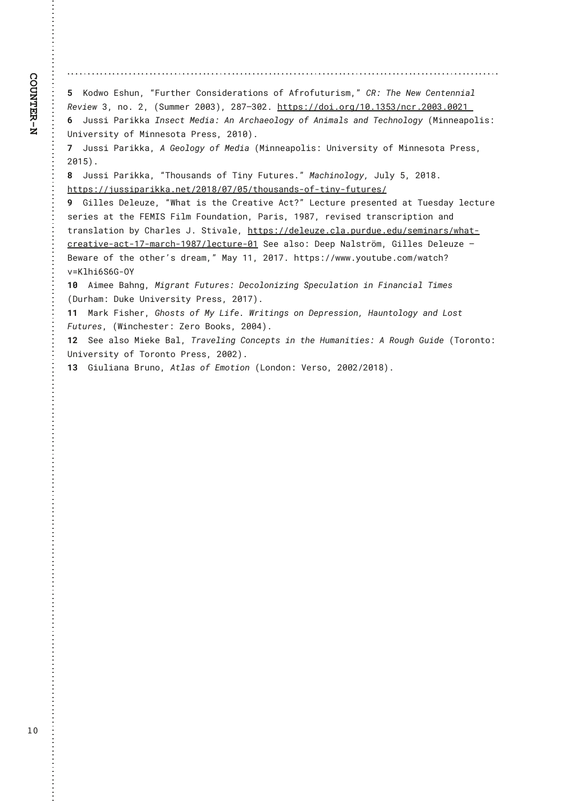<span id="page-9-0"></span>[ !, J?RJ! & NCPI • ! • 'PMDC@M \$JIND?@McODJIN! JA! "AMJAPOPMDNH+ • ! \$3 • ! 5C@ / @R! \$@! O@! ID<G! 3@D@RIY •! I J€! X •! "4PHH@MXVVY • •! X ^ ] ^ YVXE! COOKN @©? JDEJMB©WEWY[Y©I>MEXVVYEVVXW 1 : +PNND! 1<MDFF<! \*IN @ Q. @ D<\*! "I!" M>C<@ GJBT! JA! "ID H<GN! <! ?! 5 @ Q J GJBT!". DII @ KJ GDN\*! 61 DQQANDOT! JA! DIIQNJO<! 1 MQNN • ! XVWV • €!

<span id="page-9-1"></span>I ! + PNND! 1<MDFF<\*!"! (@IGUBT! JA!. @'D<!". DII @<KJGDN\*! 6IDQ@INDOT! JA!. DII @NJO<! 1M@NN\*! XVW • €!!

^ ! + PNND! 1<MDFF<•! • 5CJPN<I ?N! JA! 5DIT! ' POPM@NE•!. <>CDI JGJBT•! + PGT! [ •! XVW+€ COOKN GEEPNNDK<MDFF<EI @DEXVW@VI @VI COCJPN<I?NtJAtODI TtAPOPM@NC!!!!

<span id="page-9-2"></span>!! (DGG@N!%@G@PU@!•8C<O!DN!OC@\$M@<ODQ@">O}•!-@~OPM@KM@N@O@?!<O!5P@N?<T!G@~OPM@ NGADGNI<O CC@'&, \*4!'DGHI'JPI?<ODJI •! 1<MDN•! W ^] •! MGQDN@'!ON<IN>MDKODJI!<I?! ONKING<ODJI!=T!\$C<MG@NI+E!4ODQ<G@!COOKN•@@?@G@PU@E>G<EKPM?P@E@?PCN@HDI<MGRC<OL >M&CDQ@t<>OtWItH<M>CtW^IGG@OPM@tWY4@@<GNJ.Y@QK!/<GNOWSH+!(DGG@N!%@G@PU@^! #@R<M@JA!OC@JOC@MIN!?M@<H++!.<T!WWY!XVV]E!OOOKN+@@RRRETJPOP=@E>JH@R<O>C}  $Q_i$ , GCD\4\( $\ddagger$ 0:!!!

<span id="page-9-4"></span><span id="page-9-3"></span>WV ! "DH@@#<CIB . DBM<IO 'POPM@N ! %@JGJIDUDIB! 4K@PG<ODJI!DI!'DI<I>D<GI5DH@N! "%PMC<H+!%PF@6IDQ@MDOT!1M@N+!XVW|•€!!

<span id="page-9-5"></span>WW!.<MF!'DNC@MI(CJNONJA!.T!-DA@EI8MOODIBNJJI!%@KM@NNDJI •!)<PIOJGJBT!<I?!-JNO ' POPM@N•!" 8DI > C@NO@M•!; @MJ!#JJFN•! XVVZ•€!!

<span id="page-9-6"></span>WK ! 4 @@ < GNJ!. D@F@ #<G+!5M<Q@GDIB!\$JI>@KONIDI!OC@ )PH<IDOD@N+!"!3JPBC! (PD?@ "5JMJIOJ+! 61 DQ@MDOT! JA! 5 JMJI QJ! 1 M@NN ! XVVX ·€!

<span id="page-9-7"></span>WY ! (DPGD<I <! #MPI J•! "CG<NI JA! & HJODJI ! " - JI ?JI • ! 7@MJ• ! XVVX©XVW • €!